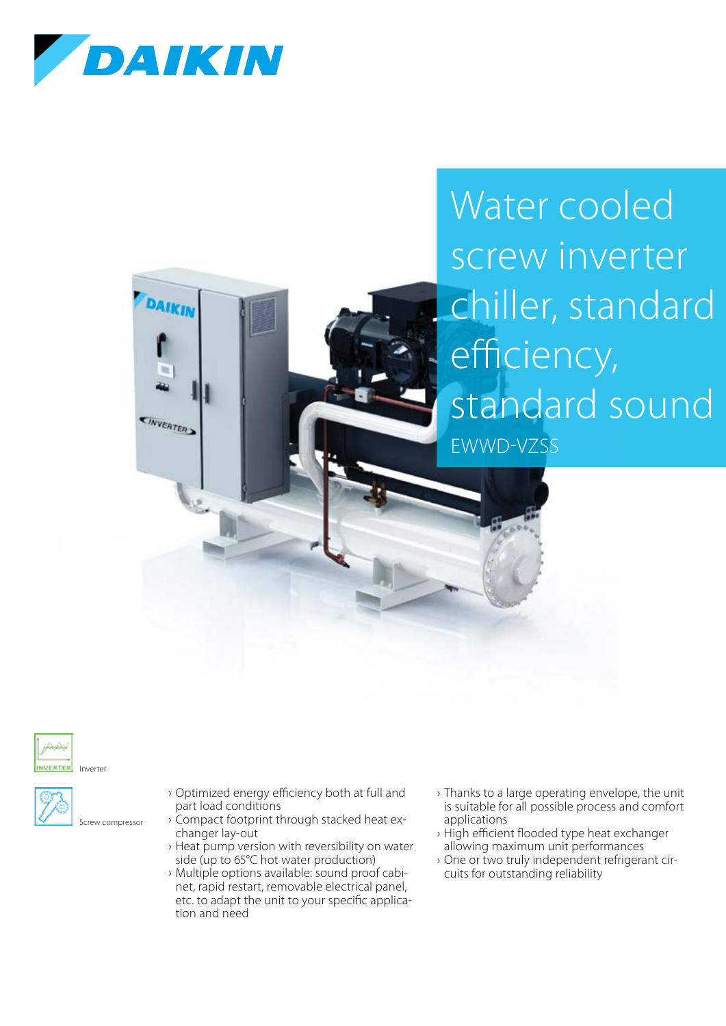

DAIKIN

**KINVERTERA** 

## Water cooled screw inverter chiller, standard efficiency, standard sound EWWD-VZSS





Screw compressor

- › Optimized energy efficiency both at full and part load conditions
- › Compact footprint through stacked heat exchanger lay-out
- › Heat pump version with reversibility on water side (up to 65°C hot water production)
- › Multiple options available: sound proof cabinet, rapid restart, removable electrical panel, etc. to adapt the unit to your specific application and need
- › Thanks to a large operating envelope, the unit is suitable for all possible process and comfort applications
- › High efficient flooded type heat exchanger allowing maximum unit performances
- › One or two truly independent refrigerant circuits for outstanding reliability